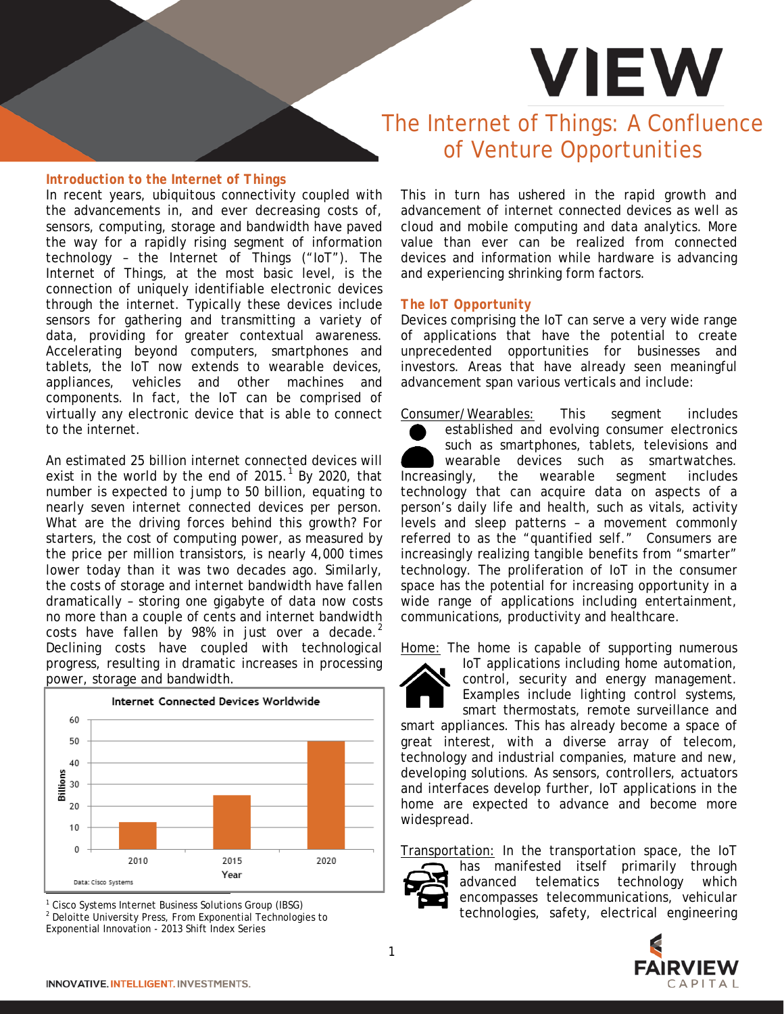# **VIEW**

### *Introduction to the Internet of Things*

In recent years, ubiquitous connectivity coupled with the advancements in, and ever decreasing costs of, sensors, computing, storage and bandwidth have paved the way for a rapidly rising segment of information technology – the Internet of Things ("IoT"). The Internet of Things, at the most basic level, is the connection of uniquely identifiable electronic devices through the internet. Typically these devices include sensors for gathering and transmitting a variety of data, providing for greater contextual awareness. Accelerating beyond computers, smartphones and tablets, the IoT now extends to wearable devices, appliances, vehicles and other machines and components. In fact, the IoT can be comprised of virtually any electronic device that is able to connect to the internet.

An estimated 25 billion internet connected devices will exist in the world by the end of  $2015<sup>1</sup>$  $2015<sup>1</sup>$  $2015<sup>1</sup>$  By 2020, that number is expected to jump to 50 billion, equating to nearly seven internet connected devices per person. What are the driving forces behind this growth? For starters, the cost of computing power, as measured by the price per million transistors, is nearly 4,000 times lower today than it was two decades ago. Similarly, the costs of storage and internet bandwidth have fallen dramatically – storing one gigabyte of data now costs no more than a couple of cents and internet bandwidth costs have fallen by 98% in just over a decade. $2$ Declining costs have coupled with technological progress, resulting in dramatic increases in processing power, storage and bandwidth.



<sup>1</sup> Cisco Systems Internet Business Solutions Group (IBSG)

<span id="page-0-1"></span><span id="page-0-0"></span><sup>2</sup> Deloitte University Press, From Exponential Technologies to

Exponential Innovation - 2013 Shift Index Series

## The Internet of Things: A Confluence of Venture Opportunities

This in turn has ushered in the rapid growth and advancement of internet connected devices as well as cloud and mobile computing and data analytics. More value than ever can be realized from connected devices and information while hardware is advancing and experiencing shrinking form factors.

#### *The IoT Opportunity*

Devices comprising the IoT can serve a very wide range of applications that have the potential to create unprecedented opportunities for businesses and investors. Areas that have already seen meaningful advancement span various verticals and include:

Consumer/Wearables: This segment includes established and evolving consumer electronics such as smartphones, tablets, televisions and wearable devices such as smartwatches. Increasingly, the wearable segment includes technology that can acquire data on aspects of a person's daily life and health, such as vitals, activity levels and sleep patterns – a movement commonly referred to as the "quantified self." Consumers are increasingly realizing tangible benefits from "smarter" technology. The proliferation of IoT in the consumer space has the potential for increasing opportunity in a wide range of applications including entertainment, communications, productivity and healthcare.

Home: The home is capable of supporting numerous



IoT applications including home automation, control, security and energy management. Examples include lighting control systems, smart thermostats, remote surveillance and smart appliances. This has already become a space of great interest, with a diverse array of telecom, technology and industrial companies, mature and new, developing solutions. As sensors, controllers, actuators

and interfaces develop further, IoT applications in the home are expected to advance and become more widespread.

Transportation: In the transportation space, the IoT



has manifested itself primarily through advanced telematics technology which encompasses telecommunications, vehicular technologies, safety, electrical engineering

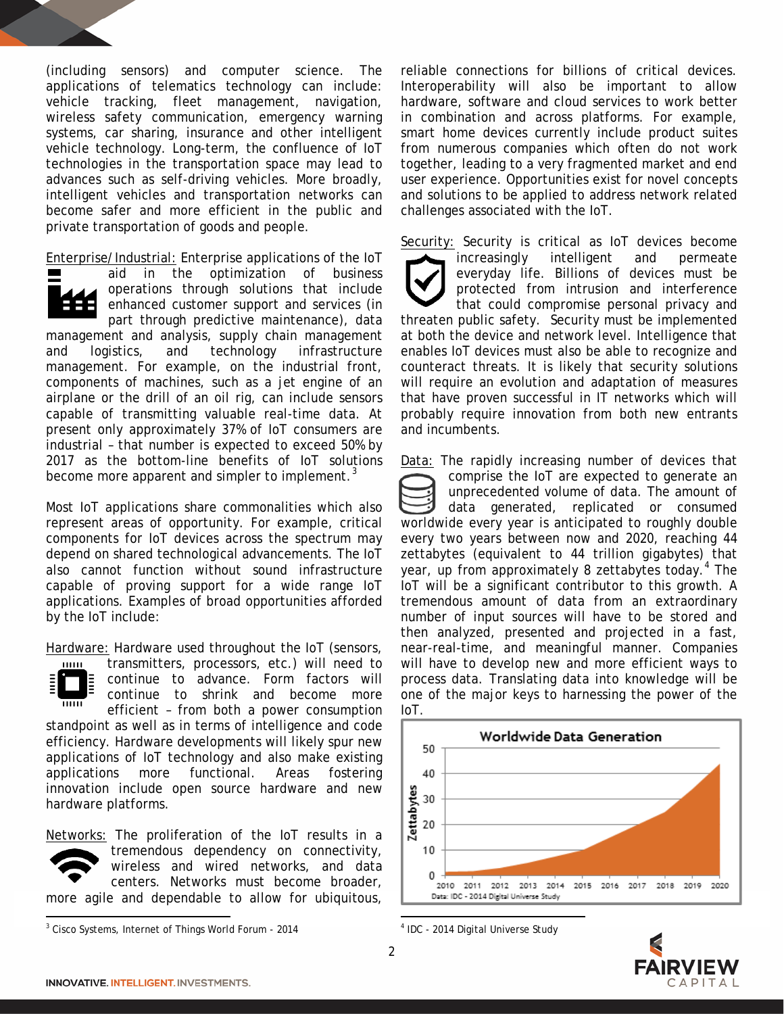(including sensors) and computer science. The applications of telematics technology can include: vehicle tracking, fleet management, navigation, wireless safety communication, emergency warning systems, car sharing, insurance and other intelligent vehicle technology. Long-term, the confluence of IoT technologies in the transportation space may lead to advances such as self-driving vehicles. More broadly, intelligent vehicles and transportation networks can become safer and more efficient in the public and private transportation of goods and people.

Enterprise/Industrial: Enterprise applications of the IoT

aid in the optimization of business operations through solutions that include enhanced customer support and services (in part through predictive maintenance), data management and analysis, supply chain management and logistics, and technology infrastructure management. For example, on the industrial front, components of machines, such as a jet engine of an airplane or the drill of an oil rig, can include sensors capable of transmitting valuable real-time data. At present only approximately 37% of IoT consumers are industrial – that number is expected to exceed 50% by 2017 as the bottom-line benefits of IoT solutions become more apparent and simpler to implement.<sup>[3](#page-1-0)</sup>

Most IoT applications share commonalities which also represent areas of opportunity. For example, critical components for IoT devices across the spectrum may depend on shared technological advancements. The IoT also cannot function without sound infrastructure capable of proving support for a wide range IoT applications. Examples of broad opportunities afforded by the IoT include:

Hardware: Hardware used throughout the IoT (sensors,

transmitters, processors, etc.) will need to  $111111$ continue to advance. Form factors will continue to shrink and become more  $\overline{111111}$ efficient – from both a power consumption standpoint as well as in terms of intelligence and code efficiency. Hardware developments will likely spur new applications of IoT technology and also make existing applications more functional. Areas fostering innovation include open source hardware and new hardware platforms.

Networks: The proliferation of the IoT results in a tremendous dependency on connectivity, wireless and wired networks, and data centers. Networks must become broader, more agile and dependable to allow for ubiquitous, reliable connections for billions of critical devices. Interoperability will also be important to allow hardware, software and cloud services to work better in combination and across platforms. For example, smart home devices currently include product suites from numerous companies which often do not work together, leading to a very fragmented market and end user experience. Opportunities exist for novel concepts and solutions to be applied to address network related challenges associated with the IoT.

Security: Security is critical as IoT devices become increasingly intelligent and permeate everyday life. Billions of devices must be protected from intrusion and interference that could compromise personal privacy and threaten public safety. Security must be implemented at both the device and network level. Intelligence that enables IoT devices must also be able to recognize and counteract threats. It is likely that security solutions will require an evolution and adaptation of measures that have proven successful in IT networks which will probably require innovation from both new entrants and incumbents.

Data: The rapidly increasing number of devices that comprise the IoT are expected to generate an unprecedented volume of data. The amount of data generated, replicated or consumed worldwide every year is anticipated to roughly double every two years between now and 2020, reaching 44 zettabytes (equivalent to 44 trillion gigabytes) that year, up from approximately 8 zettabytes today.<sup>[4](#page-1-0)</sup> The IoT will be a significant contributor to this growth. A tremendous amount of data from an extraordinary number of input sources will have to be stored and then analyzed, presented and projected in a fast, near-real-time, and meaningful manner. Companies will have to develop new and more efficient ways to process data. Translating data into knowledge will be one of the major keys to harnessing the power of the IoT.



<sup>4</sup> IDC - 2014 Digital Universe Study



 $\overline{\phantom{a}}$ 

<span id="page-1-0"></span><sup>3</sup> Cisco Systems, Internet of Things World Forum - 2014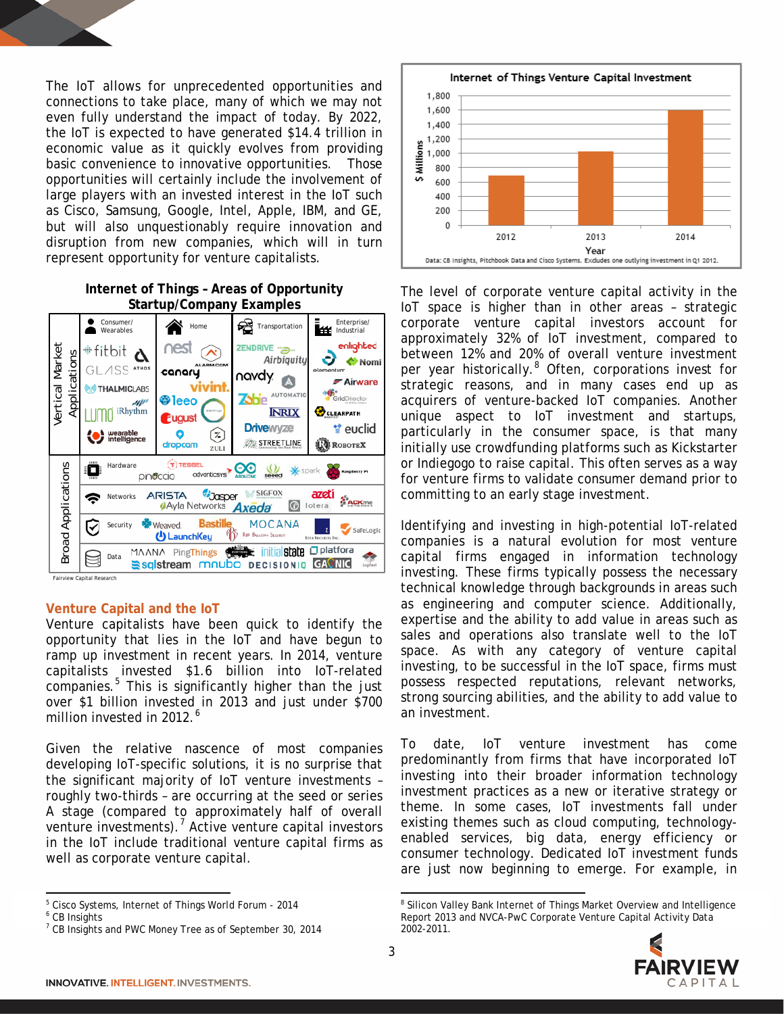The IoT allows for unprecedented opportunities and connections to take place, many of which we may not even fully understand the impact of today. By 2022, the IoT is expected to have generated \$14.4 trillion in economic value as it quickly evolves from providing basic convenience to innovative opportunities. Those opportunities will certainly include the involvement of large players with an invested interest in the IoT such as Cisco, Samsung, Google, Intel, Apple, IBM, and GE, but will also unquestionably require innovation and disruption from new companies, which will in turn represent opportunity for venture capitalists.

#### **Internet of Things – Areas of Opportunity Startup/Company Examples**



Fairview Capital Re

#### **Venture Capital and the IoT**

Venture capitalists have been quick to identify the opportunity that lies in the IoT and have begun to ramp up investment in recent years. In 2014, venture capitalists invested \$1.6 billion into IoT-related companies.<sup>[5](#page-2-0)</sup> This is significantly higher than the just over \$1 billion invested in 2013 and just under \$700 million invested in 2012<sup>[6](#page-2-1)</sup>

Given the relative nascence of most companies developing IoT-specific solutions, it is no surprise that the significant majority of IoT venture investments – roughly two-thirds – are occurring at the seed or series A stage (compared to approximately half of overall venture investments).<sup>[7](#page-2-2)</sup> Active venture capital investors in the IoT include traditional venture capital firms as well as corporate venture capital.

l



The level of corporate venture capital activity in the IoT space is higher than in other areas – strategic corporate venture capital investors account for approximately 32% of IoT investment, compared to between 12% and 20% of overall venture investment per year historically.<sup>[8](#page-2-0)</sup> Often, corporations invest for strategic reasons, and in many cases end up as acquirers of venture-backed IoT companies. Another unique aspect to IoT investment and startups, particularly in the consumer space, is that many initially use crowdfunding platforms such as Kickstarter or Indiegogo to raise capital. This often serves as a way for venture firms to validate consumer demand prior to committing to an early stage investment.

Identifying and investing in high-potential IoT-related companies is a natural evolution for most venture capital firms engaged in information technology investing. These firms typically possess the necessary technical knowledge through backgrounds in areas such as engineering and computer science. Additionally, expertise and the ability to add value in areas such as sales and operations also translate well to the IoT space. As with any category of venture capital investing, to be successful in the IoT space, firms must possess respected reputations, relevant networks, strong sourcing abilities, and the ability to add value to an investment.

To date, IoT venture investment has come predominantly from firms that have incorporated IoT investing into their broader information technology investment practices as a new or iterative strategy or theme. In some cases, IoT investments fall under existing themes such as cloud computing, technologyenabled services, big data, energy efficiency or consumer technology. Dedicated IoT investment funds are just now beginning to emerge. For example, in

l <sup>8</sup> Silicon Valley Bank Internet of Things Market Overview and Intelligence Report 2013 and NVCA-PwC Corporate Venture Capital Activity Data 2002-2011.



<span id="page-2-0"></span><sup>5</sup> Cisco Systems, Internet of Things World Forum - 2014

<span id="page-2-1"></span><sup>6</sup> CB Insights

<span id="page-2-2"></span> $<sup>7</sup>$  CB Insights and PWC Money Tree as of September 30, 2014</sup>